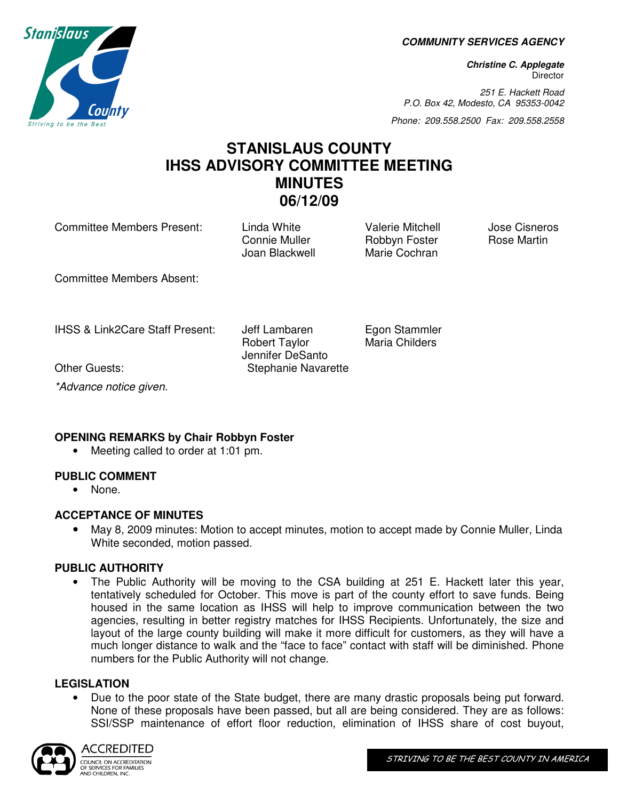**COMMUNITY SERVICES AGENCY** 

**Christine C. Applegate Director** 

251 E. Hackett Road P.O. Box 42, Modesto, CA 95353-0042

Phone: 209.558.2500 Fax: 209.558.2558

# **STANISLAUS COUNTY IHSS ADVISORY COMMITTEE MEETING MINUTES 06/12/09**

Committee Members Present: Linda White Valerie Mitchell Jose Cisneros<br>Connie Muller Robbyn Foster Rose Martin

Connie Muller **Robbyn Foster** Joan Blackwell Marie Cochran

Committee Members Absent:

IHSS & Link2Care Staff Present: Jeff Lambaren Egon Stammler

Robert Taylor Maria Childers Jennifer DeSanto Other Guests: Stephanie Navarette

\*Advance notice given.

## **OPENING REMARKS by Chair Robbyn Foster**

• Meeting called to order at 1:01 pm.

## **PUBLIC COMMENT**

• None.

## **ACCEPTANCE OF MINUTES**

• May 8, 2009 minutes: Motion to accept minutes, motion to accept made by Connie Muller, Linda White seconded, motion passed.

## **PUBLIC AUTHORITY**

• The Public Authority will be moving to the CSA building at 251 E. Hackett later this year, tentatively scheduled for October. This move is part of the county effort to save funds. Being housed in the same location as IHSS will help to improve communication between the two agencies, resulting in better registry matches for IHSS Recipients. Unfortunately, the size and layout of the large county building will make it more difficult for customers, as they will have a much longer distance to walk and the "face to face" contact with staff will be diminished. Phone numbers for the Public Authority will not change.

## **LEGISLATION**

• Due to the poor state of the State budget, there are many drastic proposals being put forward. None of these proposals have been passed, but all are being considered. They are as follows: SSI/SSP maintenance of effort floor reduction, elimination of IHSS share of cost buyout,